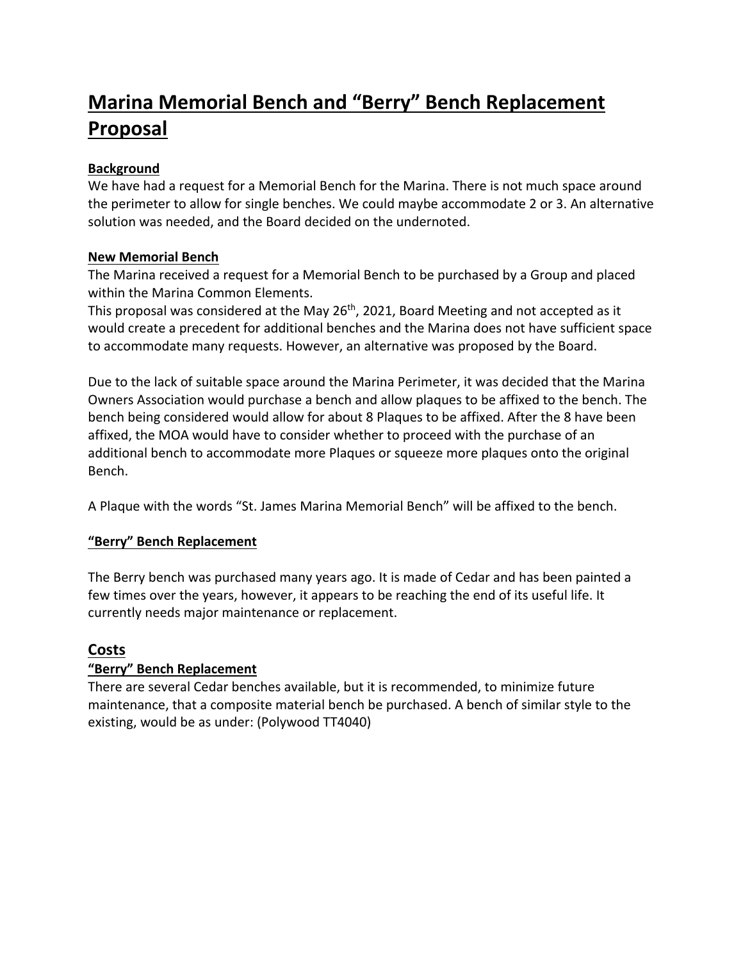# **Marina Memorial Bench and "Berry" Bench Replacement Proposal**

#### **Background**

We have had a request for a Memorial Bench for the Marina. There is not much space around the perimeter to allow for single benches. We could maybe accommodate 2 or 3. An alternative solution was needed, and the Board decided on the undernoted.

#### **New Memorial Bench**

The Marina received a request for a Memorial Bench to be purchased by a Group and placed within the Marina Common Elements.

This proposal was considered at the May 26<sup>th</sup>, 2021, Board Meeting and not accepted as it would create a precedent for additional benches and the Marina does not have sufficient space to accommodate many requests. However, an alternative was proposed by the Board.

Due to the lack of suitable space around the Marina Perimeter, it was decided that the Marina Owners Association would purchase a bench and allow plaques to be affixed to the bench. The bench being considered would allow for about 8 Plaques to be affixed. After the 8 have been affixed, the MOA would have to consider whether to proceed with the purchase of an additional bench to accommodate more Plaques or squeeze more plaques onto the original Bench.

A Plaque with the words "St. James Marina Memorial Bench" will be affixed to the bench.

#### **"Berry" Bench Replacement**

The Berry bench was purchased many years ago. It is made of Cedar and has been painted a few times over the years, however, it appears to be reaching the end of its useful life. It currently needs major maintenance or replacement.

# **Costs**

#### **"Berry" Bench Replacement**

There are several Cedar benches available, but it is recommended, to minimize future maintenance, that a composite material bench be purchased. A bench of similar style to the existing, would be as under: (Polywood TT4040)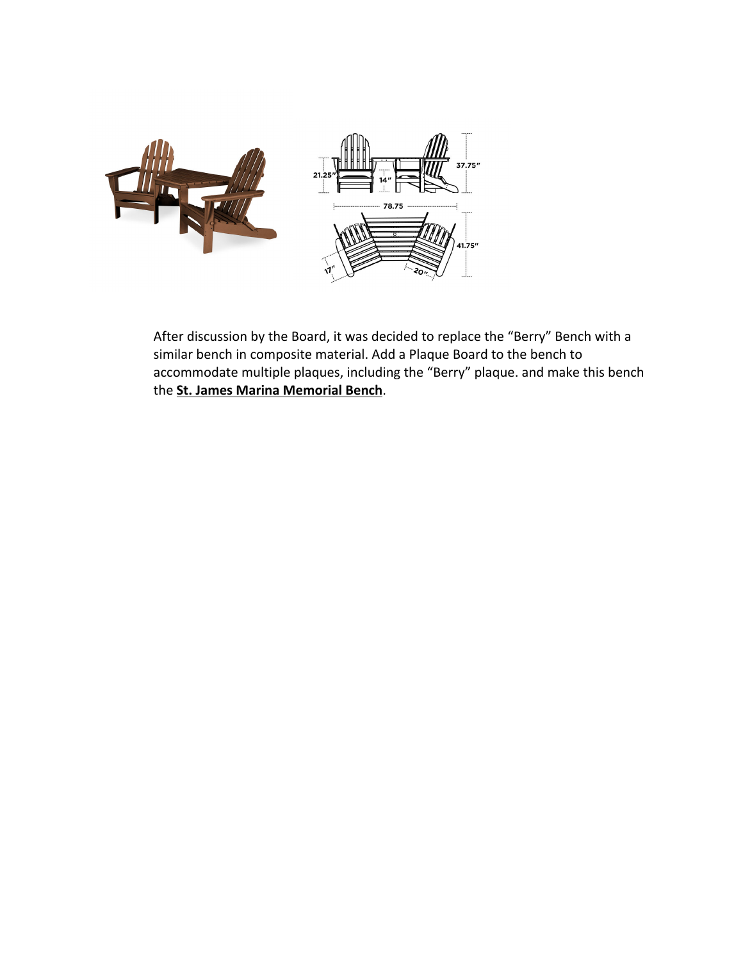

After discussion by the Board, it was decided to replace the "Berry" Bench with a similar bench in composite material. Add a Plaque Board to the bench to accommodate multiple plaques, including the "Berry" plaque. and make this bench the **St. James Marina Memorial Bench**.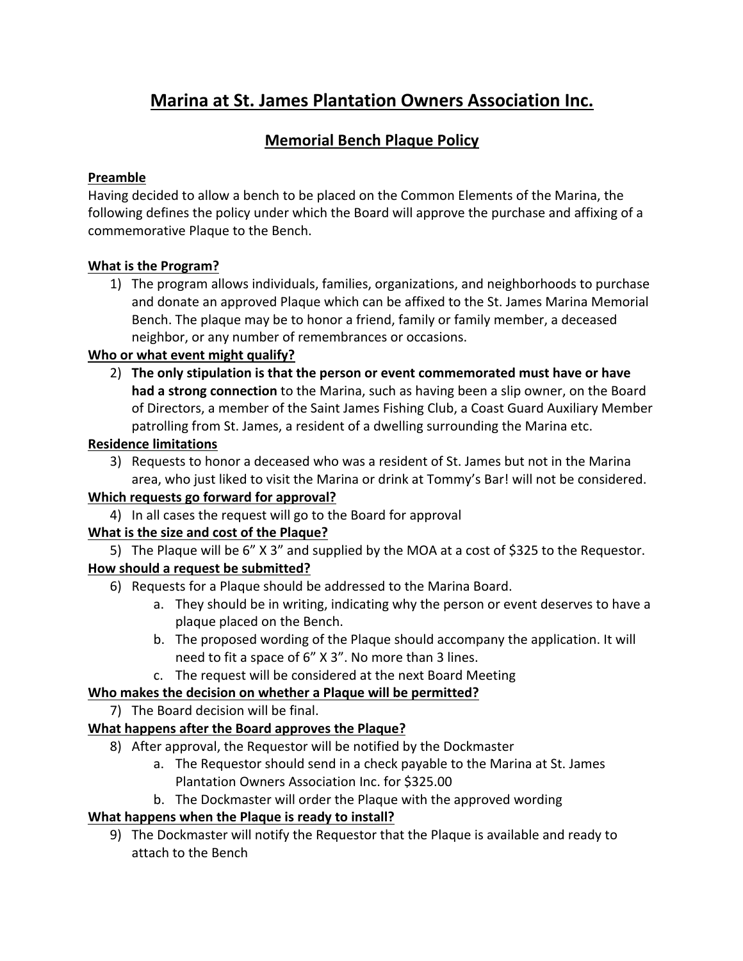# **Marina at St. James Plantation Owners Association Inc.**

# **Memorial Bench Plaque Policy**

#### **Preamble**

Having decided to allow a bench to be placed on the Common Elements of the Marina, the following defines the policy under which the Board will approve the purchase and affixing of a commemorative Plaque to the Bench.

# **What is the Program?**

1) The program allows individuals, families, organizations, and neighborhoods to purchase and donate an approved Plaque which can be affixed to the St. James Marina Memorial Bench. The plaque may be to honor a friend, family or family member, a deceased neighbor, or any number of remembrances or occasions.

#### **Who or what event might qualify?**

2) **The only stipulation is that the person or event commemorated must have or have had a strong connection** to the Marina, such as having been a slip owner, on the Board of Directors, a member of the Saint James Fishing Club, a Coast Guard Auxiliary Member patrolling from St. James, a resident of a dwelling surrounding the Marina etc.

#### **Residence limitations**

3) Requests to honor a deceased who was a resident of St. James but not in the Marina area, who just liked to visit the Marina or drink at Tommy's Bar! will not be considered.

# **Which requests go forward for approval?**

4) In all cases the request will go to the Board for approval

# **What is the size and cost of the Plaque?**

5) The Plaque will be 6" X 3" and supplied by the MOA at a cost of \$325 to the Requestor. **How should a request be submitted?**

- 6) Requests for a Plaque should be addressed to the Marina Board.
	- a. They should be in writing, indicating why the person or event deserves to have a plaque placed on the Bench.
	- b. The proposed wording of the Plaque should accompany the application. It will need to fit a space of 6" X 3". No more than 3 lines.
	- c. The request will be considered at the next Board Meeting

# **Who makes the decision on whether a Plaque will be permitted?**

7) The Board decision will be final.

# **What happens after the Board approves the Plaque?**

- 8) After approval, the Requestor will be notified by the Dockmaster
	- a. The Requestor should send in a check payable to the Marina at St. James Plantation Owners Association Inc. for \$325.00
	- b. The Dockmaster will order the Plaque with the approved wording

# **What happens when the Plaque is ready to install?**

9) The Dockmaster will notify the Requestor that the Plaque is available and ready to attach to the Bench